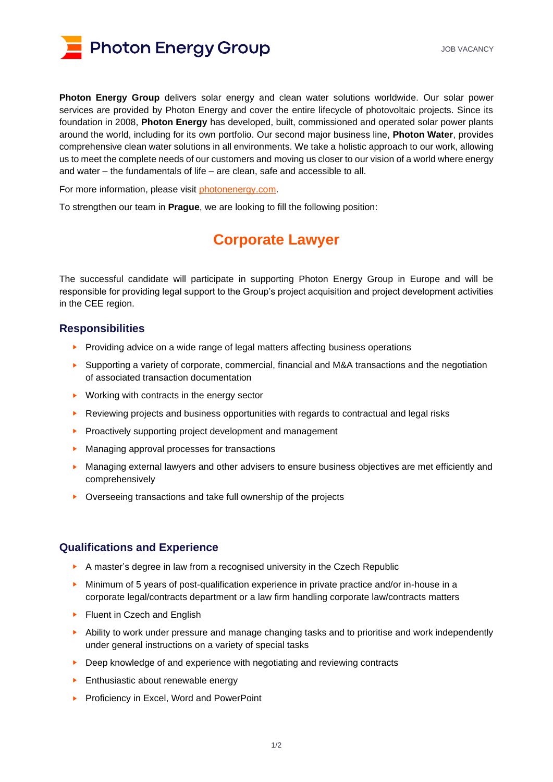

**Photon Energy Group** delivers solar energy and clean water solutions worldwide. Our solar power services are provided by Photon Energy and cover the entire lifecycle of photovoltaic projects. Since its foundation in 2008, **Photon Energy** has developed, built, commissioned and operated solar power plants around the world, including for its own portfolio. Our second major business line, **Photon Water**, provides comprehensive clean water solutions in all environments. We take a holistic approach to our work, allowing us to meet the complete needs of our customers and moving us closer to our vision of a world where energy and water – the fundamentals of life – are clean, safe and accessible to all.

For more information, please visit [photonenergy.com.](http://www.photonenergy.com/)

To strengthen our team in **Prague**, we are looking to fill the following position:

# **Corporate Lawyer**

The successful candidate will participate in supporting Photon Energy Group in Europe and will be responsible for providing legal support to the Group's project acquisition and project development activities in the CEE region.

#### **Responsibilities**

- ► Providing advice on a wide range of legal matters affecting business operations
- ► Supporting a variety of corporate, commercial, financial and M&A transactions and the negotiation of associated transaction documentation
- ► Working with contracts in the energy sector
- ► Reviewing projects and business opportunities with regards to contractual and legal risks
- ► Proactively supporting project development and management
- ► Managing approval processes for transactions
- ► Managing external lawyers and other advisers to ensure business objectives are met efficiently and comprehensively
- ► Overseeing transactions and take full ownership of the projects

### **Qualifications and Experience**

- ► A master's degree in law from a recognised university in the Czech Republic
- ► Minimum of 5 years of post-qualification experience in private practice and/or in-house in a corporate legal/contracts department or a law firm handling corporate law/contracts matters
- ► Fluent in Czech and English
- ► Ability to work under pressure and manage changing tasks and to prioritise and work independently under general instructions on a variety of special tasks
- ► Deep knowledge of and experience with negotiating and reviewing contracts
- ► Enthusiastic about renewable energy
- ► Proficiency in Excel, Word and PowerPoint